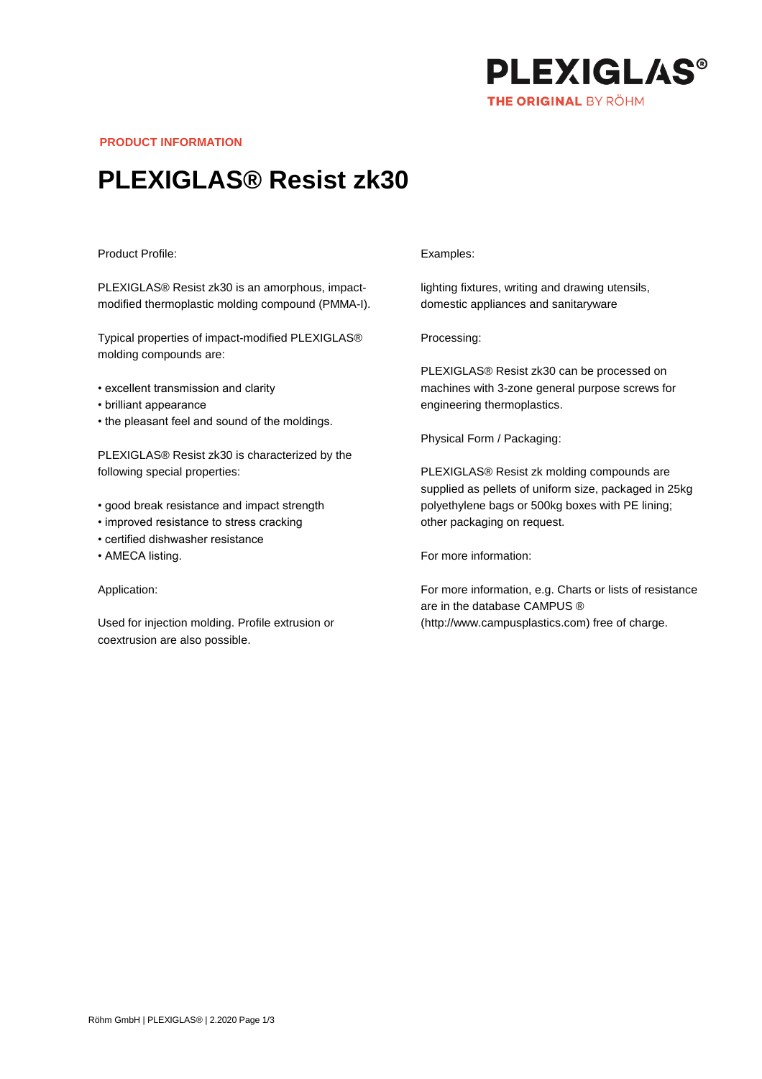

**PRODUCT INFORMATION**

# **PLEXIGLAS® Resist zk30**

### Product Profile:

PLEXIGLAS® Resist zk30 is an amorphous, impactmodified thermoplastic molding compound (PMMA-I).

Typical properties of impact-modified PLEXIGLAS® molding compounds are:

- excellent transmission and clarity
- brilliant appearance
- the pleasant feel and sound of the moldings.

PLEXIGLAS® Resist zk30 is characterized by the following special properties:

- good break resistance and impact strength
- improved resistance to stress cracking
- certified dishwasher resistance
- AMECA listing.

#### Application:

Used for injection molding. Profile extrusion or coextrusion are also possible.

#### Examples:

lighting fixtures, writing and drawing utensils, domestic appliances and sanitaryware

Processing:

PLEXIGLAS® Resist zk30 can be processed on machines with 3-zone general purpose screws for engineering thermoplastics.

Physical Form / Packaging:

PLEXIGLAS® Resist zk molding compounds are supplied as pellets of uniform size, packaged in 25kg polyethylene bags or 500kg boxes with PE lining; other packaging on request.

For more information:

For more information, e.g. Charts or lists of resistance are in the database CAMPUS ® (http://www.campusplastics.com) free of charge.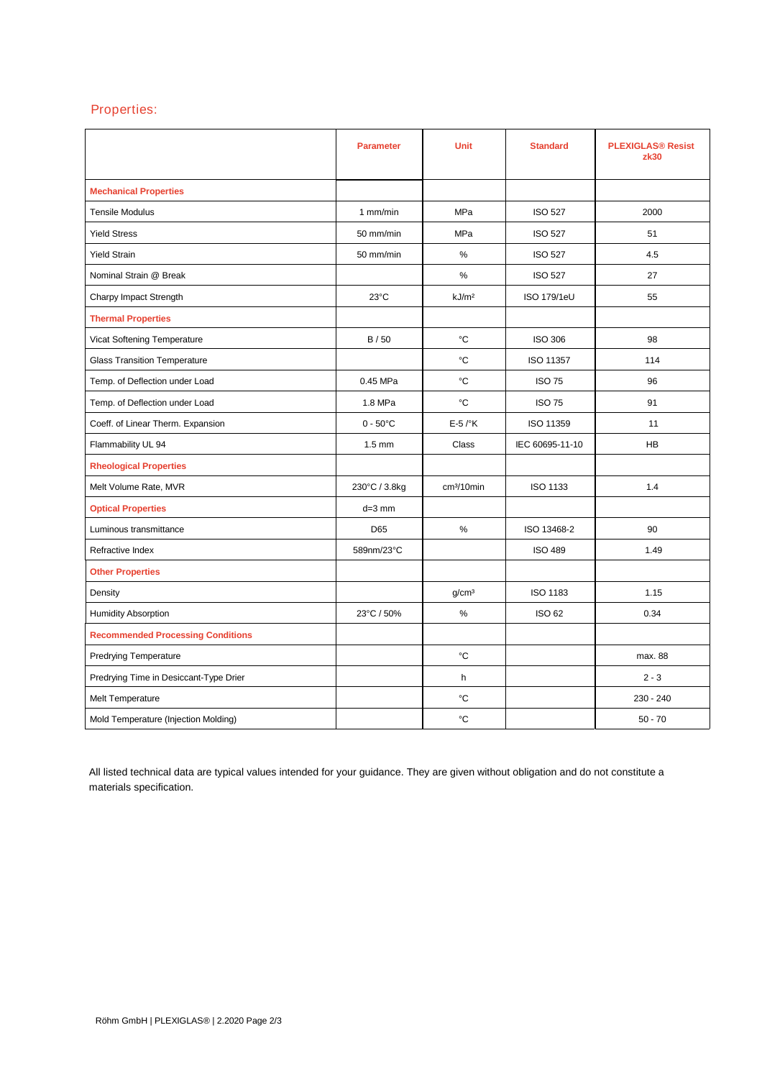## Properties:

|                                          | <b>Parameter</b>   | <b>Unit</b>            | <b>Standard</b>    | <b>PLEXIGLAS® Resist</b><br>zk30 |
|------------------------------------------|--------------------|------------------------|--------------------|----------------------------------|
| <b>Mechanical Properties</b>             |                    |                        |                    |                                  |
| <b>Tensile Modulus</b>                   | 1 mm/min           | MPa                    | <b>ISO 527</b>     | 2000                             |
| <b>Yield Stress</b>                      | 50 mm/min          | <b>MPa</b>             | <b>ISO 527</b>     | 51                               |
| <b>Yield Strain</b>                      | 50 mm/min          | %                      | <b>ISO 527</b>     | 4.5                              |
| Nominal Strain @ Break                   |                    | %                      | <b>ISO 527</b>     | 27                               |
| Charpy Impact Strength                   | $23^{\circ}$ C     | kJ/m <sup>2</sup>      | <b>ISO 179/1eU</b> | 55                               |
| <b>Thermal Properties</b>                |                    |                        |                    |                                  |
| Vicat Softening Temperature              | B/50               | °C                     | <b>ISO 306</b>     | 98                               |
| <b>Glass Transition Temperature</b>      |                    | °C                     | ISO 11357          | 114                              |
| Temp. of Deflection under Load           | 0.45 MPa           | °C                     | <b>ISO 75</b>      | 96                               |
| Temp. of Deflection under Load           | 1.8 MPa            | °C                     | <b>ISO 75</b>      | 91                               |
| Coeff. of Linear Therm. Expansion        | $0 - 50^{\circ}$ C | $E-5$ / $\mathrm{K}$   | ISO 11359          | 11                               |
| Flammability UL 94                       | $1.5 \text{ mm}$   | Class                  | IEC 60695-11-10    | <b>HB</b>                        |
| <b>Rheological Properties</b>            |                    |                        |                    |                                  |
| Melt Volume Rate, MVR                    | 230°C / 3.8kg      | cm <sup>3</sup> /10min | <b>ISO 1133</b>    | 1.4                              |
| <b>Optical Properties</b>                | $d=3$ mm           |                        |                    |                                  |
| Luminous transmittance                   | D65                | %                      | ISO 13468-2        | 90                               |
| Refractive Index                         | 589nm/23°C         |                        | <b>ISO 489</b>     | 1.49                             |
| <b>Other Properties</b>                  |                    |                        |                    |                                  |
| Density                                  |                    | g/cm <sup>3</sup>      | ISO 1183           | 1.15                             |
| <b>Humidity Absorption</b>               | 23°C / 50%         | $\%$                   | <b>ISO 62</b>      | 0.34                             |
| <b>Recommended Processing Conditions</b> |                    |                        |                    |                                  |
| <b>Predrying Temperature</b>             |                    | °C                     |                    | max. 88                          |
| Predrying Time in Desiccant-Type Drier   |                    | h                      |                    | $2 - 3$                          |
| Melt Temperature                         |                    | °C                     |                    | 230 - 240                        |
| Mold Temperature (Injection Molding)     |                    | °C                     |                    | $50 - 70$                        |

All listed technical data are typical values intended for your guidance. They are given without obligation and do not constitute a materials specification.